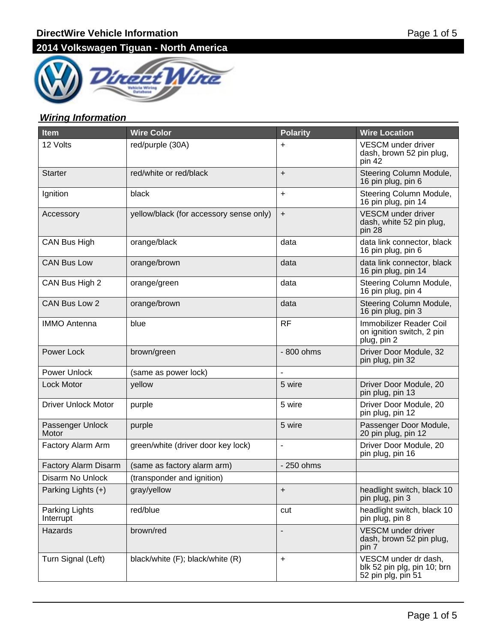

#### **Wiring Information**

| <b>Item</b>                 | <b>Wire Color</b>                       | <b>Polarity</b> | <b>Wire Location</b>                                                       |
|-----------------------------|-----------------------------------------|-----------------|----------------------------------------------------------------------------|
| 12 Volts                    | red/purple (30A)                        | +               | VESCM under driver<br>dash, brown 52 pin plug,<br>pin 42                   |
| <b>Starter</b>              | red/white or red/black                  | $\ddot{}$       | Steering Column Module,<br>16 pin plug, pin 6                              |
| Ignition                    | black                                   | $\ddot{}$       | Steering Column Module,<br>16 pin plug, pin 14                             |
| Accessory                   | yellow/black (for accessory sense only) | $\ddot{}$       | <b>VESCM</b> under driver<br>dash, white 52 pin plug,<br>pin <sub>28</sub> |
| <b>CAN Bus High</b>         | orange/black                            | data            | data link connector, black<br>16 pin plug, pin 6                           |
| <b>CAN Bus Low</b>          | orange/brown                            | data            | data link connector, black<br>16 pin plug, pin 14                          |
| CAN Bus High 2              | orange/green                            | data            | Steering Column Module,<br>16 pin plug, pin 4                              |
| CAN Bus Low 2               | orange/brown                            | data            | Steering Column Module,<br>16 pin plug, pin 3                              |
| <b>IMMO Antenna</b>         | blue                                    | <b>RF</b>       | Immobilizer Reader Coil<br>on ignition switch, 2 pin<br>plug, pin 2        |
| Power Lock                  | brown/green                             | - 800 ohms      | Driver Door Module, 32<br>pin plug, pin 32                                 |
| <b>Power Unlock</b>         | (same as power lock)                    |                 |                                                                            |
| <b>Lock Motor</b>           | yellow                                  | 5 wire          | Driver Door Module, 20<br>pin plug, pin 13                                 |
| <b>Driver Unlock Motor</b>  | purple                                  | 5 wire          | Driver Door Module, 20<br>pin plug, pin 12                                 |
| Passenger Unlock<br>Motor   | purple                                  | 5 wire          | Passenger Door Module,<br>20 pin plug, pin 12                              |
| Factory Alarm Arm           | green/white (driver door key lock)      | $\blacksquare$  | Driver Door Module, 20<br>pin plug, pin 16                                 |
| Factory Alarm Disarm        | (same as factory alarm arm)             | - 250 ohms      |                                                                            |
| Disarm No Unlock            | (transponder and ignition)              |                 |                                                                            |
| Parking Lights (+)          | gray/yellow                             | $\ddot{}$       | headlight switch, black 10<br>pin plug, pin 3                              |
| Parking Lights<br>Interrupt | red/blue                                | cut             | headlight switch, black 10<br>pin plug, pin 8                              |
| Hazards                     | brown/red                               |                 | VESCM under driver<br>dash, brown 52 pin plug,<br>pin 7                    |
| Turn Signal (Left)          | black/white (F); black/white (R)        | $\ddot{}$       | VESCM under dr dash,<br>blk 52 pin plg, pin 10; brn<br>52 pin plg, pin 51  |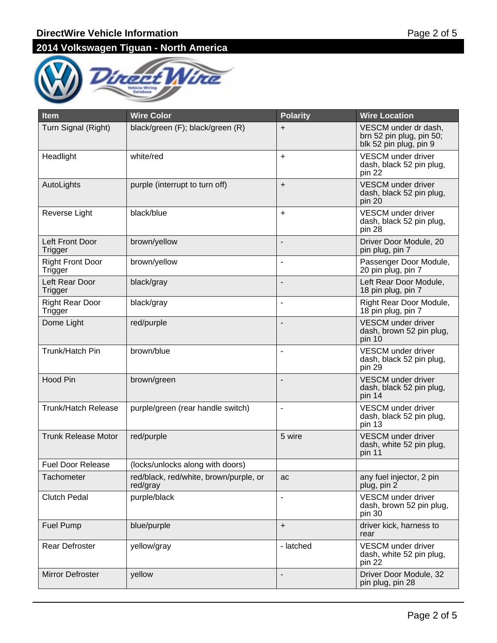

| <b>Item</b>                        | <b>Wire Color</b>                                  | <b>Polarity</b>          | <b>Wire Location</b>                                                       |
|------------------------------------|----------------------------------------------------|--------------------------|----------------------------------------------------------------------------|
| Turn Signal (Right)                | black/green (F); black/green (R)                   | $\ddot{}$                | VESCM under dr dash,<br>brn 52 pin plug, pin 50;<br>blk 52 pin plug, pin 9 |
| Headlight                          | white/red                                          | $+$                      | VESCM under driver<br>dash, black 52 pin plug,<br>pin 22                   |
| AutoLights                         | purple (interrupt to turn off)                     | $+$                      | <b>VESCM</b> under driver<br>dash, black 52 pin plug,<br>pin 20            |
| Reverse Light                      | black/blue                                         | $\ddot{}$                | <b>VESCM</b> under driver<br>dash, black 52 pin plug,<br>pin 28            |
| Left Front Door<br>Trigger         | brown/yellow                                       |                          | Driver Door Module, 20<br>pin plug, pin 7                                  |
| <b>Right Front Door</b><br>Trigger | brown/yellow                                       |                          | Passenger Door Module,<br>20 pin plug, pin 7                               |
| Left Rear Door<br>Trigger          | black/gray                                         |                          | Left Rear Door Module,<br>18 pin plug, pin 7                               |
| <b>Right Rear Door</b><br>Trigger  | black/gray                                         | $\blacksquare$           | Right Rear Door Module,<br>18 pin plug, pin 7                              |
| Dome Light                         | red/purple                                         | ÷,                       | <b>VESCM</b> under driver<br>dash, brown 52 pin plug,<br>pin 10            |
| Trunk/Hatch Pin                    | brown/blue                                         | $\blacksquare$           | VESCM under driver<br>dash, black 52 pin plug,<br>pin 29                   |
| Hood Pin                           | brown/green                                        |                          | <b>VESCM</b> under driver<br>dash, black 52 pin plug,<br>pin 14            |
| <b>Trunk/Hatch Release</b>         | purple/green (rear handle switch)                  | ÷,                       | VESCM under driver<br>dash, black 52 pin plug,<br>pin 13                   |
| <b>Trunk Release Motor</b>         | red/purple                                         | 5 wire                   | <b>VESCM</b> under driver<br>dash, white 52 pin plug,<br>pin 11            |
| <b>Fuel Door Release</b>           | (locks/unlocks along with doors)                   |                          |                                                                            |
| Tachometer                         | red/black, red/white, brown/purple, or<br>red/gray | ac                       | any fuel injector, 2 pin<br>plug, pin 2                                    |
| <b>Clutch Pedal</b>                | purple/black                                       | $\overline{\phantom{a}}$ | VESCM under driver<br>dash, brown 52 pin plug,<br>pin 30                   |
| <b>Fuel Pump</b>                   | blue/purple                                        | $\ddot{}$                | driver kick, harness to<br>rear                                            |
| Rear Defroster                     | yellow/gray                                        | - latched                | VESCM under driver<br>dash, white 52 pin plug,<br>pin 22                   |
| Mirror Defroster                   | yellow                                             |                          | Driver Door Module, 32<br>pin plug, pin 28                                 |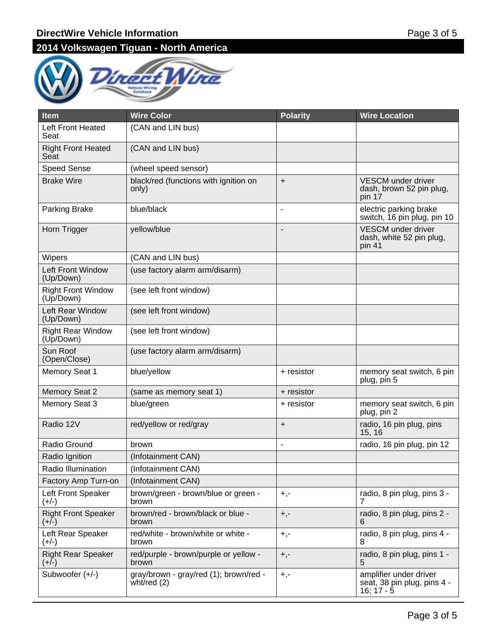

| <b>Item</b>                            | <b>Wire Color</b>                                       | <b>Polarity</b>          | <b>Wire Location</b>                                                       |
|----------------------------------------|---------------------------------------------------------|--------------------------|----------------------------------------------------------------------------|
| Left Front Heated<br>Seat              | (CAN and LIN bus)                                       |                          |                                                                            |
| <b>Right Front Heated</b><br>Seat      | (CAN and LIN bus)                                       |                          |                                                                            |
| <b>Speed Sense</b>                     | (wheel speed sensor)                                    |                          |                                                                            |
| <b>Brake Wire</b>                      | black/red (functions with ignition on<br>only)          | $\ddot{}$                | <b>VESCM</b> under driver<br>dash, brown 52 pin plug,<br>pin 17            |
| Parking Brake                          | blue/black                                              | $\overline{\phantom{a}}$ | electric parking brake<br>switch, 16 pin plug, pin 10                      |
| Horn Trigger                           | yellow/blue                                             | $\overline{\phantom{a}}$ | <b>VESCM</b> under driver<br>dash, white 52 pin plug,<br>pin <sub>41</sub> |
| Wipers                                 | (CAN and LIN bus)                                       |                          |                                                                            |
| <b>Left Front Window</b><br>(Up/Down)  | (use factory alarm arm/disarm)                          |                          |                                                                            |
| <b>Right Front Window</b><br>(Up/Down) | (see left front window)                                 |                          |                                                                            |
| Left Rear Window<br>(Up/Down)          | (see left front window)                                 |                          |                                                                            |
| <b>Right Rear Window</b><br>(Up/Down)  | (see left front window)                                 |                          |                                                                            |
| Sun Roof<br>(Open/Close)               | (use factory alarm arm/disarm)                          |                          |                                                                            |
| Memory Seat 1                          | blue/yellow                                             | + resistor               | memory seat switch, 6 pin<br>plug, pin 5                                   |
| <b>Memory Seat 2</b>                   | (same as memory seat 1)                                 | + resistor               |                                                                            |
| Memory Seat 3                          | blue/green                                              | + resistor               | memory seat switch, 6 pin<br>plug, pin 2                                   |
| Radio 12V                              | red/yellow or red/gray                                  | $\ddot{}$                | radio, 16 pin plug, pins<br>15, 16                                         |
| Radio Ground                           | brown                                                   | $\blacksquare$           | radio, 16 pin plug, pin 12                                                 |
| Radio Ignition                         | (Infotainment CAN)                                      |                          |                                                                            |
| Radio Illumination                     | (Infotainment CAN)                                      |                          |                                                                            |
| Factory Amp Turn-on                    | (Infotainment CAN)                                      |                          |                                                                            |
| Left Front Speaker<br>(+/-)            | brown/green - brown/blue or green -<br>brown            | $+, -$                   | radio, 8 pin plug, pins 3 -                                                |
| <b>Right Front Speaker</b><br>$(+/-)$  | brown/red - brown/black or blue -<br>brown              | $+,-$                    | radio, 8 pin plug, pins 2 -                                                |
| Left Rear Speaker<br>(+/-)             | red/white - brown/white or white -<br>brown             | $+, -$                   | radio, 8 pin plug, pins 4 -                                                |
| <b>Right Rear Speaker</b><br>$(+/-)$   | red/purple - brown/purple or yellow -<br>brown          | $+, -$                   | radio, 8 pin plug, pins 1 -                                                |
| Subwoofer (+/-)                        | gray/brown - gray/red (1); brown/red -<br>wht/red $(2)$ | $+, -$                   | amplifier under driver<br>seat, 38 pin plug, pins 4 -<br>$16; 17 - 5$      |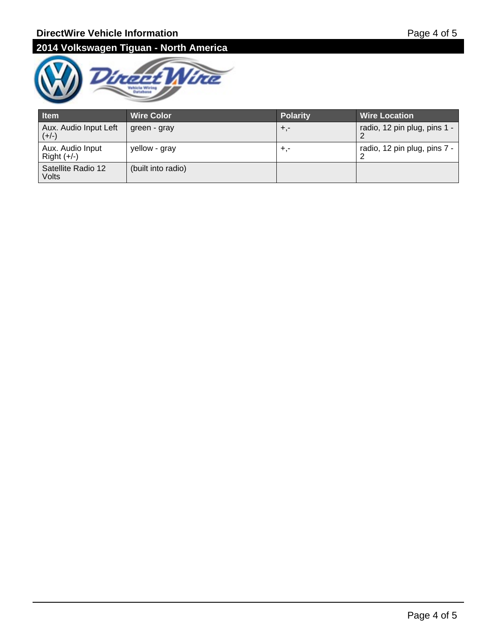

| <b>Item</b>                       | <b>Wire Color</b>  | <b>Polarity</b> | <b>Wire Location</b>         |
|-----------------------------------|--------------------|-----------------|------------------------------|
| Aux. Audio Input Left<br>$(+/-)$  | green - gray       | ۰, +            | radio, 12 pin plug, pins 1 - |
| Aux. Audio Input<br>$Right (+/-)$ | yellow - gray      | ۰,              | radio, 12 pin plug, pins 7 - |
| Satellite Radio 12<br>Volts       | (built into radio) |                 |                              |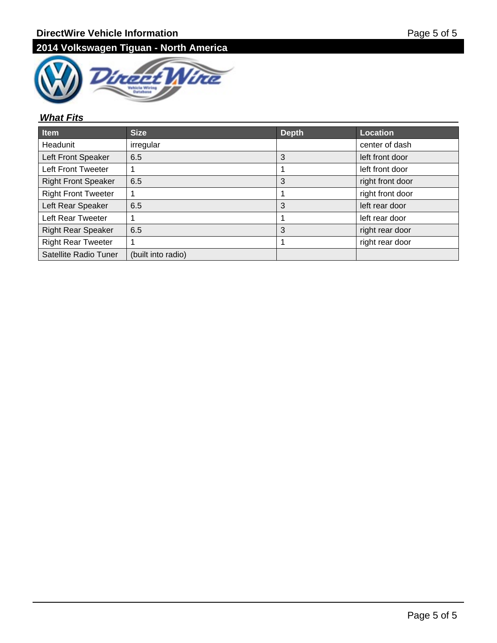

#### **What Fits**

| <b>Item</b>                | <b>Size</b>        | <b>Depth</b> | Location         |
|----------------------------|--------------------|--------------|------------------|
| Headunit                   | irregular          |              | center of dash   |
| Left Front Speaker         | 6.5                | 3            | left front door  |
| Left Front Tweeter         |                    |              | left front door  |
| <b>Right Front Speaker</b> | 6.5                | 3            | right front door |
| <b>Right Front Tweeter</b> |                    |              | right front door |
| Left Rear Speaker          | 6.5                | 3            | left rear door   |
| Left Rear Tweeter          |                    |              | left rear door   |
| <b>Right Rear Speaker</b>  | 6.5                | 3            | right rear door  |
| <b>Right Rear Tweeter</b>  |                    |              | right rear door  |
| Satellite Radio Tuner      | (built into radio) |              |                  |